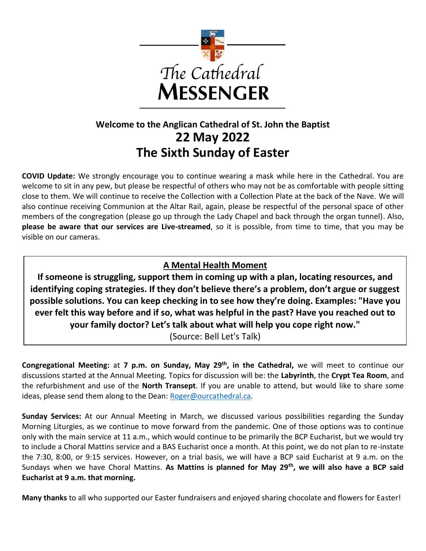

# **Welcome to the Anglican Cathedral of St. John the Baptist 22 May 2022 The Sixth Sunday of Easter**

**COVID Update:** We strongly encourage you to continue wearing a mask while here in the Cathedral. You are welcome to sit in any pew, but please be respectful of others who may not be as comfortable with people sitting close to them. We will continue to receive the Collection with a Collection Plate at the back of the Nave. We will also continue receiving Communion at the Altar Rail, again, please be respectful of the personal space of other members of the congregation (please go up through the Lady Chapel and back through the organ tunnel). Also, **please be aware that our services are Live-streamed**, so it is possible, from time to time, that you may be visible on our cameras.

### **A Mental Health Moment**

**If someone is struggling, support them in coming up with a plan, locating resources, and identifying coping strategies. If they don't believe there's a problem, don't argue or suggest possible solutions. You can keep checking in to see how they're doing. Examples: "Have you ever felt this way before and if so, what was helpful in the past? Have you reached out to your family doctor? Let's talk about what will help you cope right now."** 

(Source: Bell Let's Talk)

**Congregational Meeting:** at **7 p.m. on Sunday, May 29th, in the Cathedral,** we will meet to continue our discussions started at the Annual Meeting. Topics for discussion will be: the **Labyrinth**, the **Crypt Tea Room**, and the refurbishment and use of the **North Transept**. If you are unable to attend, but would like to share some ideas, please send them along to the Dean: [Roger@ourcathedral.ca.](mailto:Roger@ourcathedral.ca)

**Sunday Services:** At our Annual Meeting in March, we discussed various possibilities regarding the Sunday Morning Liturgies, as we continue to move forward from the pandemic. One of those options was to continue only with the main service at 11 a.m., which would continue to be primarily the BCP Eucharist, but we would try to include a Choral Mattins service and a BAS Eucharist once a month. At this point, we do not plan to re-instate the 7:30, 8:00, or 9:15 services. However, on a trial basis, we will have a BCP said Eucharist at 9 a.m. on the Sundays when we have Choral Mattins. **As Mattins is planned for May 29th, we will also have a BCP said Eucharist at 9 a.m. that morning.** 

**Many thanks** to all who supported our Easter fundraisers and enjoyed sharing chocolate and flowers for Easter!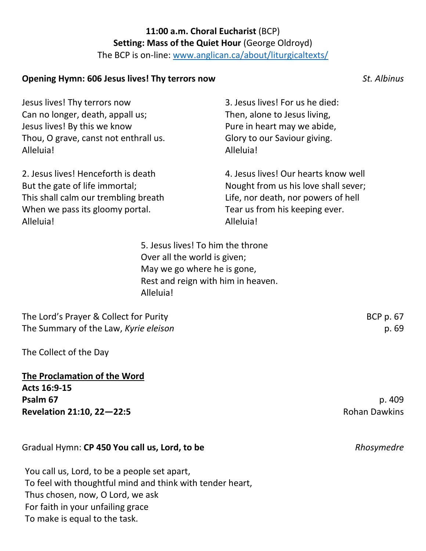## **11:00 a.m. Choral Eucharist** (BCP) **Setting: Mass of the Quiet Hour** (George Oldroyd)

The BCP is on-line: [www.anglican.ca/about/liturgicaltexts/](http://www.anglican.ca/about/liturgicaltexts/)

#### **Opening Hymn: 606 Jesus lives! Thy terrors now** *St. Albinus*

Jesus lives! Thy terrors now Can no longer, death, appall us; Jesus lives! By this we know Thou, O grave, canst not enthrall us. Alleluia!

2. Jesus lives! Henceforth is death But the gate of life immortal; This shall calm our trembling breath When we pass its gloomy portal. Alleluia!

3. Jesus lives! For us he died: Then, alone to Jesus living, Pure in heart may we abide, Glory to our Saviour giving. Alleluia!

4. Jesus lives! Our hearts know well Nought from us his love shall sever; Life, nor death, nor powers of hell Tear us from his keeping ever. Alleluia!

5. Jesus lives! To him the throne Over all the world is given; May we go where he is gone, Rest and reign with him in heaven. Alleluia!

The Lord's Prayer & Collect for Purity BCP p. 67 The Summary of the Law, *Kyrie eleison* p. 69

The Collect of the Day

**The Proclamation of the Word Acts 16:9-15 Psalm 67** p. 409 **Revelation 21:10, 22—22:5** Rohan Dawkins

#### Gradual Hymn: **CP 450 You call us, Lord, to be** *Rhosymedre Rhosymedre*

You call us, Lord, to be a people set apart, To feel with thoughtful mind and think with tender heart, Thus chosen, now, O Lord, we ask For faith in your unfailing grace To make is equal to the task.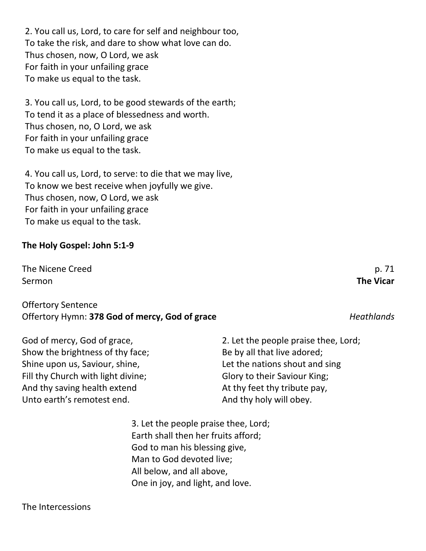2. You call us, Lord, to care for self and neighbour too, To take the risk, and dare to show what love can do. Thus chosen, now, O Lord, we ask For faith in your unfailing grace To make us equal to the task.

3. You call us, Lord, to be good stewards of the earth; To tend it as a place of blessedness and worth. Thus chosen, no, O Lord, we ask For faith in your unfailing grace To make us equal to the task.

4. You call us, Lord, to serve: to die that we may live, To know we best receive when joyfully we give. Thus chosen, now, O Lord, we ask For faith in your unfailing grace To make us equal to the task.

#### **The Holy Gospel: John 5:1-9**

The Nicene Creed p. 71 Sermon **The Vicar**

#### Offertory Sentence Offertory Hymn: **378 God of mercy, God of grace** *Heathlands*

God of mercy, God of grace, Show the brightness of thy face; Shine upon us, Saviour, shine, Fill thy Church with light divine; And thy saving health extend Unto earth's remotest end. And thy holy will obey.

> 3. Let the people praise thee, Lord; Earth shall then her fruits afford; God to man his blessing give, Man to God devoted live; All below, and all above, One in joy, and light, and love.

The Intercessions

2. Let the people praise thee, Lord; Be by all that live adored; Let the nations shout and sing Glory to their Saviour King; At thy feet thy tribute pay,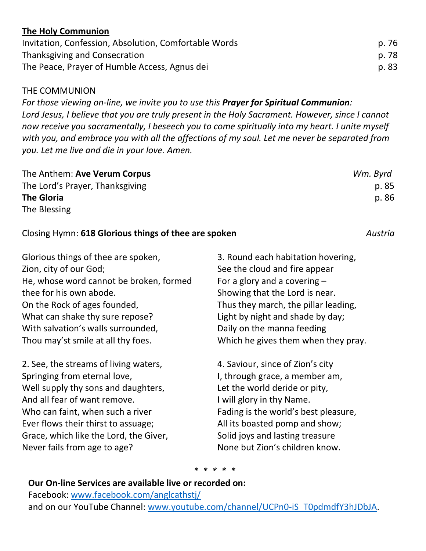### **The Holy Communion**

| Invitation, Confession, Absolution, Comfortable Words | p. 76          |
|-------------------------------------------------------|----------------|
| Thanksgiving and Consecration                         | p. 78<br>p. 83 |
| The Peace, Prayer of Humble Access, Agnus dei         |                |

#### THE COMMUNION

*For those viewing on-line, we invite you to use this Prayer for Spiritual Communion: Lord Jesus, I believe that you are truly present in the Holy Sacrament. However, since I cannot now receive you sacramentally, I beseech you to come spiritually into my heart. I unite myself with you, and embrace you with all the affections of my soul. Let me never be separated from you. Let me live and die in your love. Amen.*

| The Anthem: Ave Verum Corpus    | Wm. Byrd |
|---------------------------------|----------|
| The Lord's Prayer, Thanksgiving | p. 85    |
| <b>The Gloria</b>               | p. 86    |
| The Blessing                    |          |

#### Closing Hymn: **618 Glorious things of thee are spoken** *Austria*

Glorious things of thee are spoken, Zion, city of our God; He, whose word cannot be broken, formed thee for his own abode. On the Rock of ages founded, What can shake thy sure repose? With salvation's walls surrounded, Thou may'st smile at all thy foes.

2. See, the streams of living waters, Springing from eternal love, Well supply thy sons and daughters, And all fear of want remove. Who can faint, when such a river Ever flows their thirst to assuage; Grace, which like the Lord, the Giver, Never fails from age to age?

3. Round each habitation hovering, See the cloud and fire appear For a glory and a covering – Showing that the Lord is near. Thus they march, the pillar leading, Light by night and shade by day; Daily on the manna feeding Which he gives them when they pray.

4. Saviour, since of Zion's city I, through grace, a member am, Let the world deride or pity, I will glory in thy Name. Fading is the world's best pleasure, All its boasted pomp and show; Solid joys and lasting treasure None but Zion's children know.

*\* \* \* \* \**

#### **Our On-line Services are available live or recorded on:**

Facebook: [www.facebook.com/anglcathstj/](http://www.facebook.com/anglcathstj/) and on our YouTube Channel: [www.youtube.com/channel/UCPn0-iS\\_T0pdmdfY3hJDbJA.](http://www.youtube.com/channel/UCPn0-iS_T0pdmdfY3hJDbJA)